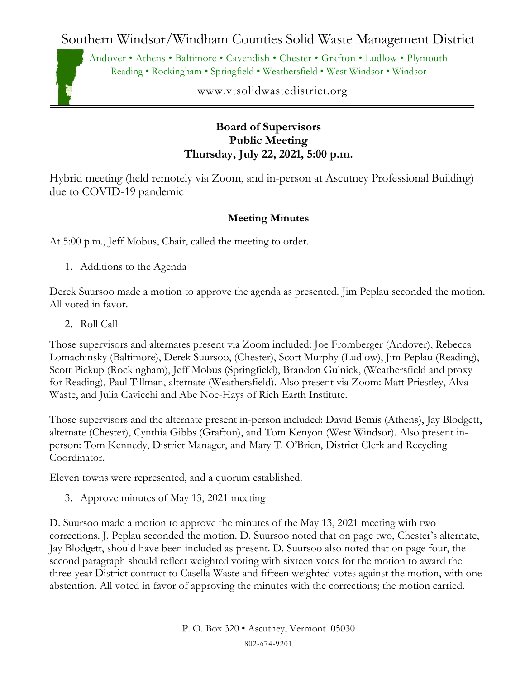Southern Windsor/Windham Counties Solid Waste Management District

Andover • Athens • Baltimore • Cavendish • Chester • Grafton • Ludlow • Plymouth Reading • Rockingham • Springfield • Weathersfield • West Windsor • Windsor

www.vtsolidwastedistrict.org

## **Board of Supervisors Public Meeting Thursday, July 22, 2021, 5:00 p.m.**

Hybrid meeting (held remotely via Zoom, and in-person at Ascutney Professional Building) due to COVID-19 pandemic

## **Meeting Minutes**

At 5:00 p.m., Jeff Mobus, Chair, called the meeting to order.

1. Additions to the Agenda

Derek Suursoo made a motion to approve the agenda as presented. Jim Peplau seconded the motion. All voted in favor.

2. Roll Call

Those supervisors and alternates present via Zoom included: Joe Fromberger (Andover), Rebecca Lomachinsky (Baltimore), Derek Suursoo, (Chester), Scott Murphy (Ludlow), Jim Peplau (Reading), Scott Pickup (Rockingham), Jeff Mobus (Springfield), Brandon Gulnick, (Weathersfield and proxy for Reading), Paul Tillman, alternate (Weathersfield). Also present via Zoom: Matt Priestley, Alva Waste, and Julia Cavicchi and Abe Noe-Hays of Rich Earth Institute.

Those supervisors and the alternate present in-person included: David Bemis (Athens), Jay Blodgett, alternate (Chester), Cynthia Gibbs (Grafton), and Tom Kenyon (West Windsor). Also present inperson: Tom Kennedy, District Manager, and Mary T. O'Brien, District Clerk and Recycling Coordinator.

Eleven towns were represented, and a quorum established.

3. Approve minutes of May 13, 2021 meeting

D. Suursoo made a motion to approve the minutes of the May 13, 2021 meeting with two corrections. J. Peplau seconded the motion. D. Suursoo noted that on page two, Chester's alternate, Jay Blodgett, should have been included as present. D. Suursoo also noted that on page four, the second paragraph should reflect weighted voting with sixteen votes for the motion to award the three-year District contract to Casella Waste and fifteen weighted votes against the motion, with one abstention. All voted in favor of approving the minutes with the corrections; the motion carried.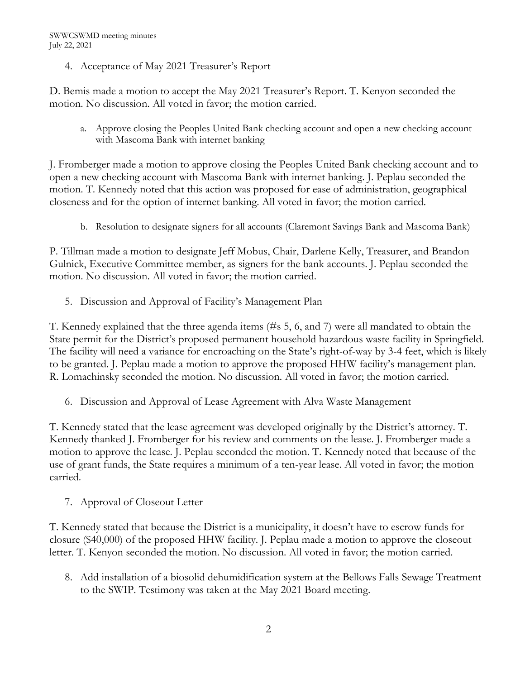4. Acceptance of May 2021 Treasurer's Report

D. Bemis made a motion to accept the May 2021 Treasurer's Report. T. Kenyon seconded the motion. No discussion. All voted in favor; the motion carried.

a. Approve closing the Peoples United Bank checking account and open a new checking account with Mascoma Bank with internet banking

J. Fromberger made a motion to approve closing the Peoples United Bank checking account and to open a new checking account with Mascoma Bank with internet banking. J. Peplau seconded the motion. T. Kennedy noted that this action was proposed for ease of administration, geographical closeness and for the option of internet banking. All voted in favor; the motion carried.

b. Resolution to designate signers for all accounts (Claremont Savings Bank and Mascoma Bank)

P. Tillman made a motion to designate Jeff Mobus, Chair, Darlene Kelly, Treasurer, and Brandon Gulnick, Executive Committee member, as signers for the bank accounts. J. Peplau seconded the motion. No discussion. All voted in favor; the motion carried.

5. Discussion and Approval of Facility's Management Plan

T. Kennedy explained that the three agenda items (#s 5, 6, and 7) were all mandated to obtain the State permit for the District's proposed permanent household hazardous waste facility in Springfield. The facility will need a variance for encroaching on the State's right-of-way by 3-4 feet, which is likely to be granted. J. Peplau made a motion to approve the proposed HHW facility's management plan. R. Lomachinsky seconded the motion. No discussion. All voted in favor; the motion carried.

6. Discussion and Approval of Lease Agreement with Alva Waste Management

T. Kennedy stated that the lease agreement was developed originally by the District's attorney. T. Kennedy thanked J. Fromberger for his review and comments on the lease. J. Fromberger made a motion to approve the lease. J. Peplau seconded the motion. T. Kennedy noted that because of the use of grant funds, the State requires a minimum of a ten-year lease. All voted in favor; the motion carried.

7. Approval of Closeout Letter

T. Kennedy stated that because the District is a municipality, it doesn't have to escrow funds for closure (\$40,000) of the proposed HHW facility. J. Peplau made a motion to approve the closeout letter. T. Kenyon seconded the motion. No discussion. All voted in favor; the motion carried.

8. Add installation of a biosolid dehumidification system at the Bellows Falls Sewage Treatment to the SWIP. Testimony was taken at the May 2021 Board meeting.